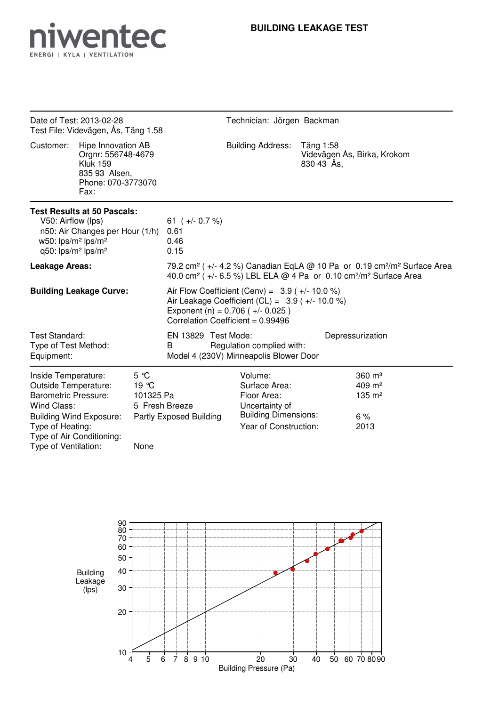

| Date of Test: 2013-02-28<br>Test File: Videvägen, Ås, Täng 1.58                                                                                                                         |                                                                                                            | Technician: Jörgen Backman                                    |                                                                                                                                                                                                                        |  |                                                                                                                   |                         |                                                                             |  |  |
|-----------------------------------------------------------------------------------------------------------------------------------------------------------------------------------------|------------------------------------------------------------------------------------------------------------|---------------------------------------------------------------|------------------------------------------------------------------------------------------------------------------------------------------------------------------------------------------------------------------------|--|-------------------------------------------------------------------------------------------------------------------|-------------------------|-----------------------------------------------------------------------------|--|--|
| Customer:                                                                                                                                                                               | Hipe Innovation AB<br>Orgnr: 556748-4679<br><b>Kluk 159</b><br>835 93 Alsen,<br>Phone: 070-3773070<br>Fax: |                                                               |                                                                                                                                                                                                                        |  | <b>Building Address:</b>                                                                                          | Täng 1:58<br>830 43 Ås, | Videvägen Ås, Birka, Krokom                                                 |  |  |
| <b>Test Results at 50 Pascals:</b><br>V50: Airflow (lps)<br>n50: Air Changes per Hour (1/h)<br>w50: lps/m <sup>2</sup> lps/m <sup>2</sup><br>q50: lps/m <sup>2</sup> lps/m <sup>2</sup> |                                                                                                            |                                                               | 61 $(+/- 0.7%)$<br>0.61<br>0.46<br>0.15                                                                                                                                                                                |  |                                                                                                                   |                         |                                                                             |  |  |
| <b>Leakage Areas:</b>                                                                                                                                                                   |                                                                                                            |                                                               | 79.2 cm <sup>2</sup> ( $+/-$ 4.2 %) Canadian EqLA @ 10 Pa or 0.19 cm <sup>2</sup> /m <sup>2</sup> Surface Area<br>40.0 cm <sup>2</sup> (+/- 6.5 %) LBL ELA @ 4 Pa or 0.10 cm <sup>2</sup> /m <sup>2</sup> Surface Area |  |                                                                                                                   |                         |                                                                             |  |  |
| <b>Building Leakage Curve:</b>                                                                                                                                                          |                                                                                                            |                                                               | Air Flow Coefficient (Cenv) = $3.9$ ( $+/- 10.0$ %)<br>Air Leakage Coefficient (CL) = $3.9$ ( $+/- 10.0$ %)<br>Exponent (n) = $0.706$ ( $+/- 0.025$ )<br>Correlation Coefficient = 0.99496                             |  |                                                                                                                   |                         |                                                                             |  |  |
| Test Standard:<br>Type of Test Method:<br>Equipment:                                                                                                                                    |                                                                                                            |                                                               | EN 13829 Test Mode:<br>Regulation complied with:<br>B<br>Model 4 (230V) Minneapolis Blower Door                                                                                                                        |  |                                                                                                                   |                         | Depressurization                                                            |  |  |
| Inside Temperature:<br><b>Outside Temperature:</b><br><b>Barometric Pressure:</b><br>Wind Class:<br>Type of Heating:<br>Type of Ventilation:                                            | <b>Building Wind Exposure:</b><br>Type of Air Conditioning:                                                | $5^{\circ}$ C<br>19 °C<br>101325 Pa<br>5 Fresh Breeze<br>None | Partly Exposed Building                                                                                                                                                                                                |  | Volume:<br>Surface Area:<br>Floor Area:<br>Uncertainty of<br><b>Building Dimensions:</b><br>Year of Construction: |                         | $360 \text{ m}^3$<br>$409 \text{ m}^2$<br>$135 \; \text{m}^2$<br>6%<br>2013 |  |  |